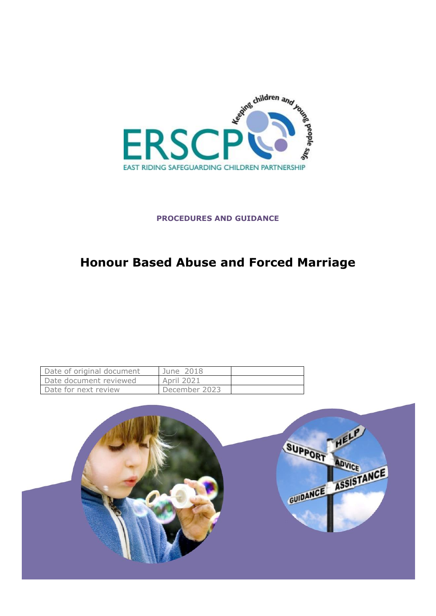

# **PROCEDURES AND GUIDANCE**

# **Honour Based Abuse and Forced Marriage**

| Date of original document | June 2018     |  |
|---------------------------|---------------|--|
| Date document reviewed    | April 2021    |  |
| Date for next review      | December 2023 |  |

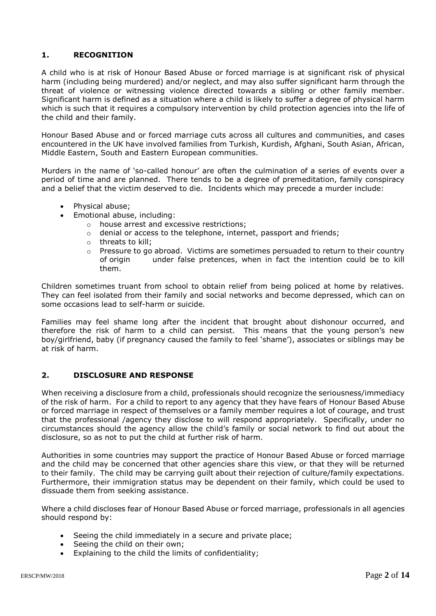## **1. RECOGNITION**

A child who is at risk of Honour Based Abuse or forced marriage is at significant risk of physical harm (including being murdered) and/or neglect, and may also suffer significant harm through the threat of violence or witnessing violence directed towards a sibling or other family member. Significant harm is defined as a situation where a child is likely to suffer a degree of physical harm which is such that it requires a compulsory intervention by child protection agencies into the life of the child and their family.

Honour Based Abuse and or forced marriage cuts across all cultures and communities, and cases encountered in the UK have involved families from Turkish, Kurdish, Afghani, South Asian, African, Middle Eastern, South and Eastern European communities.

Murders in the name of 'so-called honour' are often the culmination of a series of events over a period of time and are planned. There tends to be a degree of premeditation, family conspiracy and a belief that the victim deserved to die. Incidents which may precede a murder include:

- Physical abuse;
	- Emotional abuse, including:
		- o house arrest and excessive restrictions;
		- o denial or access to the telephone, internet, passport and friends;
		- o threats to kill;
		- $\circ$  Pressure to go abroad. Victims are sometimes persuaded to return to their country of origin under false pretences, when in fact the intention could be to kill them.

Children sometimes truant from school to obtain relief from being policed at home by relatives. They can feel isolated from their family and social networks and become depressed, which can on some occasions lead to self-harm or suicide.

Families may feel shame long after the incident that brought about dishonour occurred, and therefore the risk of harm to a child can persist. This means that the young person's new boy/girlfriend, baby (if pregnancy caused the family to feel 'shame'), associates or siblings may be at risk of harm.

#### **2. DISCLOSURE AND RESPONSE**

When receiving a disclosure from a child, professionals should recognize the seriousness/immediacy of the risk of harm. For a child to report to any agency that they have fears of Honour Based Abuse or forced marriage in respect of themselves or a family member requires a lot of courage, and trust that the professional /agency they disclose to will respond appropriately. Specifically, under no circumstances should the agency allow the child's family or social network to find out about the disclosure, so as not to put the child at further risk of harm.

Authorities in some countries may support the practice of Honour Based Abuse or forced marriage and the child may be concerned that other agencies share this view, or that they will be returned to their family. The child may be carrying guilt about their rejection of culture/family expectations. Furthermore, their immigration status may be dependent on their family, which could be used to dissuade them from seeking assistance.

Where a child discloses fear of Honour Based Abuse or forced marriage, professionals in all agencies should respond by:

- Seeing the child immediately in a secure and private place;
- Seeing the child on their own;
- Explaining to the child the limits of confidentiality;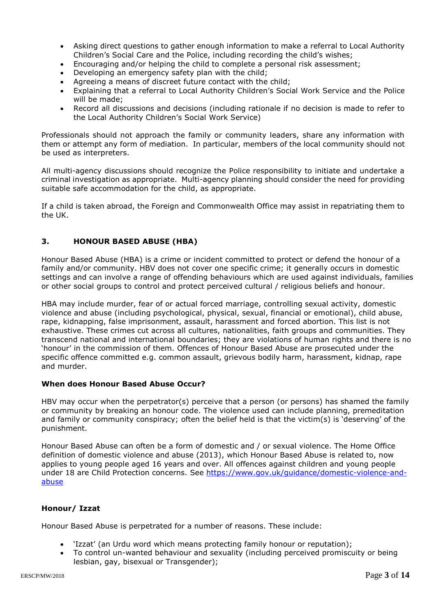- Asking direct questions to gather enough information to make a referral to Local Authority Children's Social Care and the Police, including recording the child's wishes;
- Encouraging and/or helping the child to complete a personal risk assessment;
- Developing an emergency safety plan with the child;
- Agreeing a means of discreet future contact with the child;
- Explaining that a referral to Local Authority Children's Social Work Service and the Police will be made;
- Record all discussions and decisions (including rationale if no decision is made to refer to the Local Authority Children's Social Work Service)

Professionals should not approach the family or community leaders, share any information with them or attempt any form of mediation. In particular, members of the local community should not be used as interpreters.

All multi-agency discussions should recognize the Police responsibility to initiate and undertake a criminal investigation as appropriate. Multi-agency planning should consider the need for providing suitable safe accommodation for the child, as appropriate.

If a child is taken abroad, the Foreign and Commonwealth Office may assist in repatriating them to the UK.

## **3. HONOUR BASED ABUSE (HBA)**

Honour Based Abuse (HBA) is a crime or incident committed to protect or defend the honour of a family and/or community. HBV does not cover one specific crime; it generally occurs in domestic settings and can involve a range of offending behaviours which are used against individuals, families or other social groups to control and protect perceived cultural / religious beliefs and honour.

HBA may include murder, fear of or actual forced marriage, controlling sexual activity, domestic violence and abuse (including psychological, physical, sexual, financial or emotional), child abuse, rape, kidnapping, false imprisonment, assault, harassment and forced abortion. This list is not exhaustive. These crimes cut across all cultures, nationalities, faith groups and communities. They transcend national and international boundaries; they are violations of human rights and there is no 'honour' in the commission of them. Offences of Honour Based Abuse are prosecuted under the specific offence committed e.g. common assault, grievous bodily harm, harassment, kidnap, rape and murder.

#### **When does Honour Based Abuse Occur?**

HBV may occur when the perpetrator(s) perceive that a person (or persons) has shamed the family or community by breaking an honour code. The violence used can include planning, premeditation and family or community conspiracy; often the belief held is that the victim(s) is 'deserving' of the punishment.

Honour Based Abuse can often be a form of domestic and / or sexual violence. The Home Office definition of domestic violence and abuse (2013), which Honour Based Abuse is related to, now applies to young people aged 16 years and over. All offences against children and young people under 18 are Child Protection concerns. See [https://www.gov.uk/guidance/domestic-violence-and](https://www.gov.uk/guidance/domestic-violence-and-abuse)[abuse](https://www.gov.uk/guidance/domestic-violence-and-abuse)

#### **Honour/ Izzat**

Honour Based Abuse is perpetrated for a number of reasons. These include:

- 'Izzat' (an Urdu word which means protecting family honour or reputation);
- To control un-wanted behaviour and sexuality (including perceived promiscuity or being lesbian, gay, bisexual or Transgender);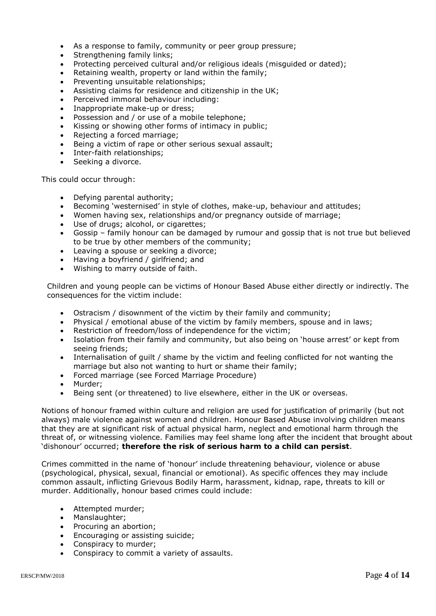- As a response to family, community or peer group pressure;
- Strengthening family links:
- Protecting perceived cultural and/or religious ideals (misguided or dated);
- Retaining wealth, property or land within the family;
- Preventing unsuitable relationships;
- Assisting claims for residence and citizenship in the UK;
- Perceived immoral behaviour including:
- Inappropriate make-up or dress;
- Possession and / or use of a mobile telephone;
- Kissing or showing other forms of intimacy in public;
- Rejecting a forced marriage;
- Being a victim of rape or other serious sexual assault;
- Inter-faith relationships;
- Seeking a divorce.

This could occur through:

- Defying parental authority;
- Becoming 'westernised' in style of clothes, make-up, behaviour and attitudes;
- Women having sex, relationships and/or pregnancy outside of marriage;
- Use of drugs; alcohol, or cigarettes;
- Gossip family honour can be damaged by rumour and gossip that is not true but believed to be true by other members of the community;
- Leaving a spouse or seeking a divorce;
- Having a boyfriend / girlfriend; and
- Wishing to marry outside of faith.

Children and young people can be victims of Honour Based Abuse either directly or indirectly. The consequences for the victim include:

- Ostracism / disownment of the victim by their family and community;
- Physical / emotional abuse of the victim by family members, spouse and in laws;
- Restriction of freedom/loss of independence for the victim;
- Isolation from their family and community, but also being on 'house arrest' or kept from seeing friends;
- Internalisation of guilt / shame by the victim and feeling conflicted for not wanting the marriage but also not wanting to hurt or shame their family;
- Forced marriage (see Forced Marriage Procedure)
- Murder;
- Being sent (or threatened) to live elsewhere, either in the UK or overseas.

Notions of honour framed within culture and religion are used for justification of primarily (but not always) male violence against women and children. Honour Based Abuse involving children means that they are at significant risk of actual physical harm, neglect and emotional harm through the threat of, or witnessing violence. Families may feel shame long after the incident that brought about 'dishonour' occurred; **therefore the risk of serious harm to a child can persist**.

Crimes committed in the name of 'honour' include threatening behaviour, violence or abuse (psychological, physical, sexual, financial or emotional). As specific offences they may include common assault, inflicting Grievous Bodily Harm, harassment, kidnap, rape, threats to kill or murder. Additionally, honour based crimes could include:

- Attempted murder;
- Manslaughter:
- Procuring an abortion;
- Encouraging or assisting suicide;
- Conspiracy to murder:
- Conspiracy to commit a variety of assaults.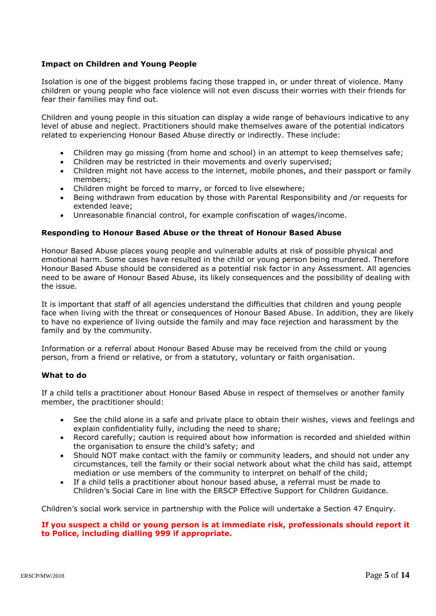## **Impact on Children and Young People**

Isolation is one of the biggest problems facing those trapped in, or under threat of violence. Many children or young people who face violence will not even discuss their worries with their friends for fear their families may find out.

Children and young people in this situation can display a wide range of behaviours indicative to any level of abuse and neglect. Practitioners should make themselves aware of the potential indicators related to experiencing Honour Based Abuse directly or indirectly. These include:

- Children may go missing (from home and school) in an attempt to keep themselves safe;
- Children may be restricted in their movements and overly supervised;
- Children might not have access to the internet, mobile phones, and their passport or family members;
- Children might be forced to marry, or forced to live elsewhere;
- Being withdrawn from education by those with Parental Responsibility and /or requests for extended leave;
- Unreasonable financial control, for example confiscation of wages/income.

#### **Responding to Honour Based Abuse or the threat of Honour Based Abuse**

Honour Based Abuse places young people and vulnerable adults at risk of possible physical and emotional harm. Some cases have resulted in the child or young person being murdered. Therefore Honour Based Abuse should be considered as a potential risk factor in any Assessment. All agencies need to be aware of Honour Based Abuse, its likely consequences and the possibility of dealing with the issue.

It is important that staff of all agencies understand the difficulties that children and young people face when living with the threat or consequences of Honour Based Abuse. In addition, they are likely to have no experience of living outside the family and may face rejection and harassment by the family and by the community.

Information or a referral about Honour Based Abuse may be received from the child or young person, from a friend or relative, or from a statutory, voluntary or faith organisation.

#### **What to do**

If a child tells a practitioner about Honour Based Abuse in respect of themselves or another family member, the practitioner should:

- See the child alone in a safe and private place to obtain their wishes, views and feelings and explain confidentiality fully, including the need to share;
- Record carefully; caution is required about how information is recorded and shielded within the organisation to ensure the child's safety; and
- Should NOT make contact with the family or community leaders, and should not under any circumstances, tell the family or their social network about what the child has said, attempt mediation or use members of the community to interpret on behalf of the child;
- If a child tells a practitioner about honour based abuse, a referral must be made to Children's Social Care in line with the ERSCP Effective Support for Children Guidance.

Children's social work service in partnership with the Police will undertake a Section 47 Enquiry.

#### **If you suspect a child or young person is at immediate risk, professionals should report it to Police, including dialling 999 if appropriate.**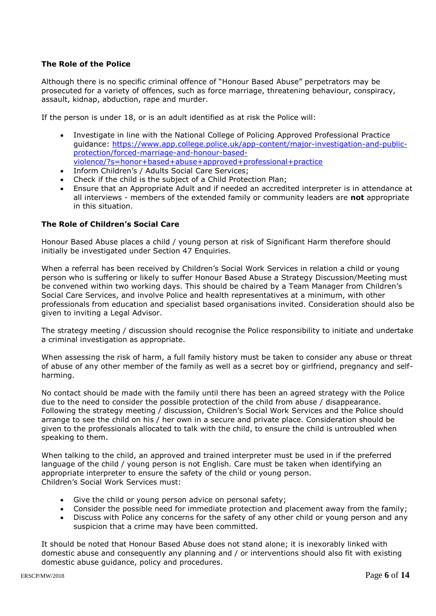## **The Role of the Police**

Although there is no specific criminal offence of "Honour Based Abuse" perpetrators may be prosecuted for a variety of offences, such as force marriage, threatening behaviour, conspiracy, assault, kidnap, abduction, rape and murder.

If the person is under 18, or is an adult identified as at risk the Police will:

- Investigate in line with the National College of Policing Approved Professional Practice guidance: [https://www.app.college.police.uk/app-content/major-investigation-and-public](https://www.app.college.police.uk/app-content/major-investigation-and-public-protection/forced-marriage-and-honour-based-violence/?s=honor+based+abuse+approved+professional+practice)[protection/forced-marriage-and-honour-based](https://www.app.college.police.uk/app-content/major-investigation-and-public-protection/forced-marriage-and-honour-based-violence/?s=honor+based+abuse+approved+professional+practice)[violence/?s=honor+based+abuse+approved+professional+practice](https://www.app.college.police.uk/app-content/major-investigation-and-public-protection/forced-marriage-and-honour-based-violence/?s=honor+based+abuse+approved+professional+practice)
- Inform Children's / Adults Social Care Services;
- Check if the child is the subject of a Child Protection Plan;
- Ensure that an Appropriate Adult and if needed an accredited interpreter is in attendance at all interviews - members of the extended family or community leaders are **not** appropriate in this situation.

## **The Role of Children's Social Care**

Honour Based Abuse places a child / young person at risk of Significant Harm therefore should initially be investigated under Section 47 Enquiries.

When a referral has been received by Children's Social Work Services in relation a child or young person who is suffering or likely to suffer Honour Based Abuse a Strategy Discussion/Meeting must be convened within two working days. This should be chaired by a Team Manager from Children's Social Care Services, and involve Police and health representatives at a minimum, with other professionals from education and specialist based organisations invited. Consideration should also be given to inviting a Legal Advisor.

The strategy meeting / discussion should recognise the Police responsibility to initiate and undertake a criminal investigation as appropriate.

When assessing the risk of harm, a full family history must be taken to consider any abuse or threat of abuse of any other member of the family as well as a secret boy or girlfriend, pregnancy and selfharming.

No contact should be made with the family until there has been an agreed strategy with the Police due to the need to consider the possible protection of the child from abuse / disappearance. Following the strategy meeting / discussion, Children's Social Work Services and the Police should arrange to see the child on his / her own in a secure and private place. Consideration should be given to the professionals allocated to talk with the child, to ensure the child is untroubled when speaking to them.

When talking to the child, an approved and trained interpreter must be used in if the preferred language of the child / young person is not English. Care must be taken when identifying an appropriate interpreter to ensure the safety of the child or young person. Children's Social Work Services must:

- Give the child or young person advice on personal safety;
- Consider the possible need for immediate protection and placement away from the family;
- Discuss with Police any concerns for the safety of any other child or young person and any suspicion that a crime may have been committed.

It should be noted that Honour Based Abuse does not stand alone; it is inexorably linked with domestic abuse and consequently any planning and / or interventions should also fit with existing domestic abuse guidance, policy and procedures.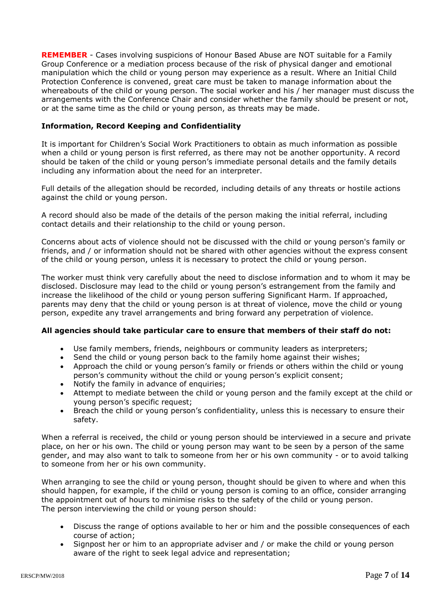**REMEMBER** - Cases involving suspicions of Honour Based Abuse are NOT suitable for a Family Group Conference or a mediation process because of the risk of physical danger and emotional manipulation which the child or young person may experience as a result. Where an Initial Child Protection Conference is convened, great care must be taken to manage information about the whereabouts of the child or young person. The social worker and his / her manager must discuss the arrangements with the Conference Chair and consider whether the family should be present or not, or at the same time as the child or young person, as threats may be made.

## **Information, Record Keeping and Confidentiality**

It is important for Children's Social Work Practitioners to obtain as much information as possible when a child or young person is first referred, as there may not be another opportunity. A record should be taken of the child or young person's immediate personal details and the family details including any information about the need for an interpreter.

Full details of the allegation should be recorded, including details of any threats or hostile actions against the child or young person.

A record should also be made of the details of the person making the initial referral, including contact details and their relationship to the child or young person.

Concerns about acts of violence should not be discussed with the child or young person's family or friends, and / or information should not be shared with other agencies without the express consent of the child or young person, unless it is necessary to protect the child or young person.

The worker must think very carefully about the need to disclose information and to whom it may be disclosed. Disclosure may lead to the child or young person's estrangement from the family and increase the likelihood of the child or young person suffering Significant Harm. If approached, parents may deny that the child or young person is at threat of violence, move the child or young person, expedite any travel arrangements and bring forward any perpetration of violence.

## **All agencies should take particular care to ensure that members of their staff do not:**

- Use family members, friends, neighbours or community leaders as interpreters;
- Send the child or young person back to the family home against their wishes:
- Approach the child or young person's family or friends or others within the child or young person's community without the child or young person's explicit consent;
- Notify the family in advance of enquiries;
- Attempt to mediate between the child or young person and the family except at the child or young person's specific request;
- Breach the child or young person's confidentiality, unless this is necessary to ensure their safety.

When a referral is received, the child or young person should be interviewed in a secure and private place, on her or his own. The child or young person may want to be seen by a person of the same gender, and may also want to talk to someone from her or his own community - or to avoid talking to someone from her or his own community.

When arranging to see the child or young person, thought should be given to where and when this should happen, for example, if the child or young person is coming to an office, consider arranging the appointment out of hours to minimise risks to the safety of the child or young person. The person interviewing the child or young person should:

- Discuss the range of options available to her or him and the possible consequences of each course of action;
- Signpost her or him to an appropriate adviser and / or make the child or young person aware of the right to seek legal advice and representation;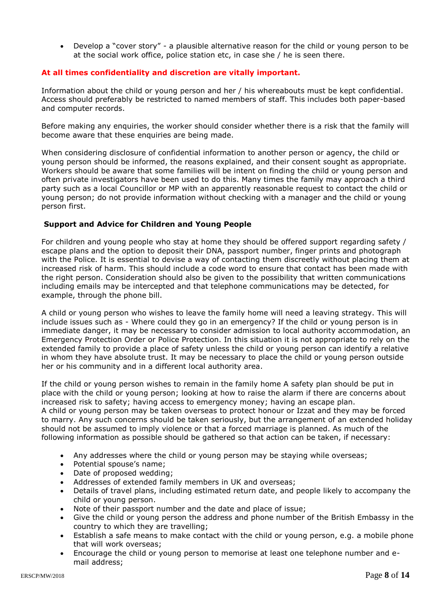Develop a "cover story" - a plausible alternative reason for the child or young person to be at the social work office, police station etc, in case she / he is seen there.

## **At all times confidentiality and discretion are vitally important.**

Information about the child or young person and her / his whereabouts must be kept confidential. Access should preferably be restricted to named members of staff. This includes both paper-based and computer records.

Before making any enquiries, the worker should consider whether there is a risk that the family will become aware that these enquiries are being made.

When considering disclosure of confidential information to another person or agency, the child or young person should be informed, the reasons explained, and their consent sought as appropriate. Workers should be aware that some families will be intent on finding the child or young person and often private investigators have been used to do this. Many times the family may approach a third party such as a local Councillor or MP with an apparently reasonable request to contact the child or young person; do not provide information without checking with a manager and the child or young person first.

## **Support and Advice for Children and Young People**

For children and young people who stay at home they should be offered support regarding safety / escape plans and the option to deposit their DNA, passport number, finger prints and photograph with the Police. It is essential to devise a way of contacting them discreetly without placing them at increased risk of harm. This should include a code word to ensure that contact has been made with the right person. Consideration should also be given to the possibility that written communications including emails may be intercepted and that telephone communications may be detected, for example, through the phone bill.

A child or young person who wishes to leave the family home will need a leaving strategy. This will include issues such as - Where could they go in an emergency? If the child or young person is in immediate danger, it may be necessary to consider admission to local authority accommodation, an Emergency Protection Order or Police Protection. In this situation it is not appropriate to rely on the extended family to provide a place of safety unless the child or young person can identify a relative in whom they have absolute trust. It may be necessary to place the child or young person outside her or his community and in a different local authority area.

If the child or young person wishes to remain in the family home A safety plan should be put in place with the child or young person; looking at how to raise the alarm if there are concerns about increased risk to safety; having access to emergency money; having an escape plan. A child or young person may be taken overseas to protect honour or Izzat and they may be forced to marry. Any such concerns should be taken seriously, but the arrangement of an extended holiday should not be assumed to imply violence or that a forced marriage is planned. As much of the following information as possible should be gathered so that action can be taken, if necessary:

- Any addresses where the child or young person may be staying while overseas;
- Potential spouse's name:
- Date of proposed wedding;
- Addresses of extended family members in UK and overseas;
- Details of travel plans, including estimated return date, and people likely to accompany the child or young person.
- Note of their passport number and the date and place of issue;
- Give the child or young person the address and phone number of the British Embassy in the country to which they are travelling;
- Establish a safe means to make contact with the child or young person, e.g. a mobile phone that will work overseas;
- Encourage the child or young person to memorise at least one telephone number and email address;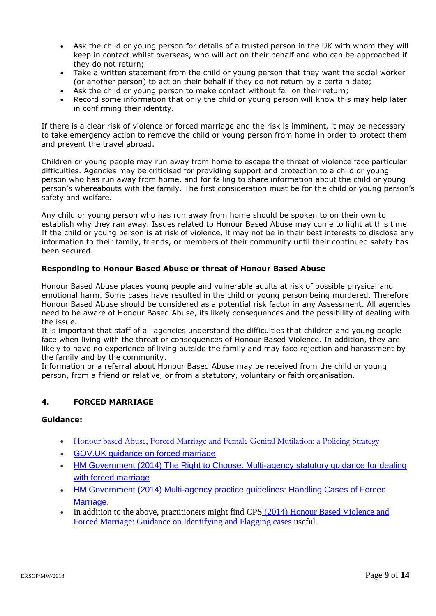- Ask the child or young person for details of a trusted person in the UK with whom they will keep in contact whilst overseas, who will act on their behalf and who can be approached if they do not return;
- Take a written statement from the child or young person that they want the social worker (or another person) to act on their behalf if they do not return by a certain date;
- Ask the child or young person to make contact without fail on their return;
- Record some information that only the child or young person will know this may help later in confirming their identity.

If there is a clear risk of violence or forced marriage and the risk is imminent, it may be necessary to take emergency action to remove the child or young person from home in order to protect them and prevent the travel abroad.

Children or young people may run away from home to escape the threat of violence face particular difficulties. Agencies may be criticised for providing support and protection to a child or young person who has run away from home, and for failing to share information about the child or young person's whereabouts with the family. The first consideration must be for the child or young person's safety and welfare.

Any child or young person who has run away from home should be spoken to on their own to establish why they ran away. Issues related to Honour Based Abuse may come to light at this time. If the child or young person is at risk of violence, it may not be in their best interests to disclose any information to their family, friends, or members of their community until their continued safety has been secured.

## **Responding to Honour Based Abuse or threat of Honour Based Abuse**

Honour Based Abuse places young people and vulnerable adults at risk of possible physical and emotional harm. Some cases have resulted in the child or young person being murdered. Therefore Honour Based Abuse should be considered as a potential risk factor in any Assessment. All agencies need to be aware of Honour Based Abuse, its likely consequences and the possibility of dealing with the issue.

It is important that staff of all agencies understand the difficulties that children and young people face when living with the threat or consequences of Honour Based Violence. In addition, they are likely to have no experience of living outside the family and may face rejection and harassment by the family and by the community.

Information or a referral about Honour Based Abuse may be received from the child or young person, from a friend or relative, or from a statutory, voluntary or faith organisation.

#### **4. FORCED MARRIAGE**

## **Guidance:**

- [Honour based Abuse, Forced Marriage and Female Genital Mutilation: a Policing Strategy](http://library.college.police.uk/docs/appref/Final%20NPCC%20HBA%20strategy%202015%202018December%202015.pdf)
- [GOV.UK guidance on forced marriage](https://www.gov.uk/forced-marriage)
- [HM Government \(2014\) The Right to Choose: Multi-agency statutory guidance for dealing](https://www.gov.uk/government/uploads/system/uploads/attachment_data/file/322310/HMG_Statutory_Guidance_publication_180614_Final.pdf)  [with forced marriage](https://www.gov.uk/government/uploads/system/uploads/attachment_data/file/322310/HMG_Statutory_Guidance_publication_180614_Final.pdf)
- [HM Government \(2014\) Multi-agency practice guidelines: Handling Cases of Forced](https://www.gov.uk/government/uploads/system/uploads/attachment_data/file/322307/HMG_MULTI_AGENCY_PRACTICE_GUIDELINES_v1_180614_FINAL.pdf)  [Marriage.](https://www.gov.uk/government/uploads/system/uploads/attachment_data/file/322307/HMG_MULTI_AGENCY_PRACTICE_GUIDELINES_v1_180614_FINAL.pdf)
- In addition to the above, practitioners might find CPS (2014) Honour Based Violence and [Forced Marriage: Guidance on Identifying and Flagging cases](https://www.cps.gov.uk/legal-guidance/honour-based-violence-and-forced-marriage-guidance-identifying-and-flagging-cases) useful.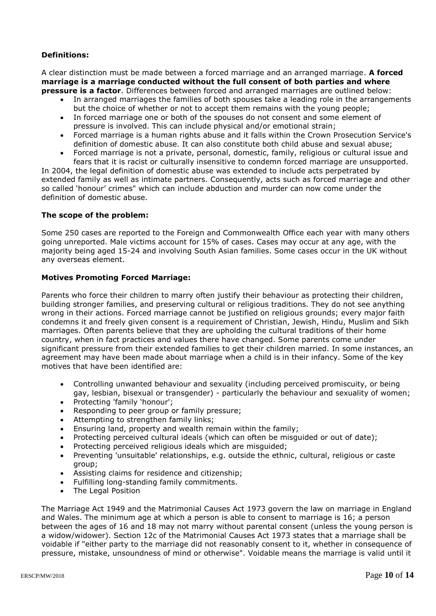# **Definitions:**

A clear distinction must be made between a forced marriage and an arranged marriage. **A forced marriage is a marriage conducted without the full consent of both parties and where pressure is a factor**. Differences between forced and arranged marriages are outlined below:

- In arranged marriages the families of both spouses take a leading role in the arrangements but the choice of whether or not to accept them remains with the young people;
- In forced marriage one or both of the spouses do not consent and some element of pressure is involved. This can include physical and/or emotional strain;
- Forced marriage is a human rights abuse and it falls within the Crown Prosecution Service's definition of domestic abuse. It can also constitute both child abuse and sexual abuse;
- Forced marriage is not a private, personal, domestic, family, religious or cultural issue and fears that it is racist or culturally insensitive to condemn forced marriage are unsupported.

In 2004, the legal definition of domestic abuse was extended to include acts perpetrated by extended family as well as intimate partners. Consequently, acts such as forced marriage and other so called 'honour' crimes" which can include abduction and murder can now come under the definition of domestic abuse.

## **The scope of the problem:**

Some 250 cases are reported to the Foreign and Commonwealth Office each year with many others going unreported. Male victims account for 15% of cases. Cases may occur at any age, with the majority being aged 15-24 and involving South Asian families. Some cases occur in the UK without any overseas element.

## **Motives Promoting Forced Marriage:**

Parents who force their children to marry often justify their behaviour as protecting their children, building stronger families, and preserving cultural or religious traditions. They do not see anything wrong in their actions. Forced marriage cannot be justified on religious grounds; every major faith condemns it and freely given consent is a requirement of Christian, Jewish, Hindu, Muslim and Sikh marriages. Often parents believe that they are upholding the cultural traditions of their home country, when in fact practices and values there have changed. Some parents come under significant pressure from their extended families to get their children married. In some instances, an agreement may have been made about marriage when a child is in their infancy. Some of the key motives that have been identified are:

- Controlling unwanted behaviour and sexuality (including perceived promiscuity, or being gay, lesbian, bisexual or transgender) - particularly the behaviour and sexuality of women;
- Protecting 'family 'honour';
- Responding to peer group or family pressure;
- Attempting to strengthen family links;
- Ensuring land, property and wealth remain within the family;
- Protecting perceived cultural ideals (which can often be misguided or out of date);
- Protecting perceived religious ideals which are misguided;
- Preventing 'unsuitable' relationships, e.g. outside the ethnic, cultural, religious or caste group;
- Assisting claims for residence and citizenship;
- Fulfilling long-standing family commitments.
- The Legal Position

The Marriage Act 1949 and the Matrimonial Causes Act 1973 govern the law on marriage in England and Wales. The minimum age at which a person is able to consent to marriage is 16; a person between the ages of 16 and 18 may not marry without parental consent (unless the young person is a widow/widower). Section 12c of the Matrimonial Causes Act 1973 states that a marriage shall be voidable if "either party to the marriage did not reasonably consent to it, whether in consequence of pressure, mistake, unsoundness of mind or otherwise". Voidable means the marriage is valid until it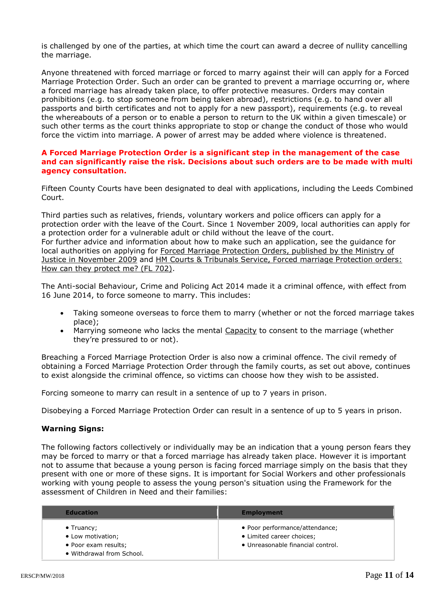is challenged by one of the parties, at which time the court can award a decree of nullity cancelling the marriage.

Anyone threatened with forced marriage or forced to marry against their will can apply for a Forced Marriage Protection Order. Such an order can be granted to prevent a marriage occurring or, where a forced marriage has already taken place, to offer protective measures. Orders may contain prohibitions (e.g. to stop someone from being taken abroad), restrictions (e.g. to hand over all passports and birth certificates and not to apply for a new passport), requirements (e.g. to reveal the whereabouts of a person or to enable a person to return to the UK within a given timescale) or such other terms as the court thinks appropriate to stop or change the conduct of those who would force the victim into marriage. A power of arrest may be added where violence is threatened.

#### **A Forced Marriage Protection Order is a significant step in the management of the case and can significantly raise the risk. Decisions about such orders are to be made with multi agency consultation.**

Fifteen County Courts have been designated to deal with applications, including the Leeds Combined Court.

Third parties such as relatives, friends, voluntary workers and police officers can apply for a protection order with the leave of the Court. Since 1 November 2009, local authorities can apply for a protection order for a vulnerable adult or child without the leave of the court. For further advice and information about how to make such an application, see the guidance for local authorities on applying for [Forced Marriage Protection Orders, published by the Ministry of](http://www.justice.gov.uk/protecting-the-vulnerable/forced-marriage)  [Justice in November 2009](http://www.justice.gov.uk/protecting-the-vulnerable/forced-marriage) and [HM Courts & Tribunals Service, Forced marriage Protection orders:](http://lincolnshirescb.proceduresonline.com/pdfs/forced_marriage_prot_orders.pdf)  [How can they protect me? \(FL 702\).](http://lincolnshirescb.proceduresonline.com/pdfs/forced_marriage_prot_orders.pdf)

The Anti-social Behaviour, Crime and Policing Act 2014 made it a criminal offence, with effect from 16 June 2014, to force someone to marry. This includes:

- Taking someone overseas to force them to marry (whether or not the forced marriage takes place);
- Marrying someone who lacks the mental [Capacity](http://trixresources.proceduresonline.com/nat_key/keywords/capacity.html) to consent to the marriage (whether they're pressured to or not).

Breaching a Forced Marriage Protection Order is also now a criminal offence. The civil remedy of obtaining a Forced Marriage Protection Order through the family courts, as set out above, continues to exist alongside the criminal offence, so victims can choose how they wish to be assisted.

Forcing someone to marry can result in a sentence of up to 7 years in prison.

Disobeying a Forced Marriage Protection Order can result in a sentence of up to 5 years in prison.

#### **Warning Signs:**

The following factors collectively or individually may be an indication that a young person fears they may be forced to marry or that a forced marriage has already taken place. However it is important not to assume that because a young person is facing forced marriage simply on the basis that they present with one or more of these signs. It is important for Social Workers and other professionals working with young people to assess the young person's situation using the Framework for the assessment of Children in Need and their families:

| <b>Education</b>                                  | <b>Employment</b>                 |  |
|---------------------------------------------------|-----------------------------------|--|
| $\bullet$ Truancy;                                | • Poor performance/attendance;    |  |
| • Low motivation;                                 | • Limited career choices;         |  |
| • Poor exam results;<br>• Withdrawal from School. | • Unreasonable financial control. |  |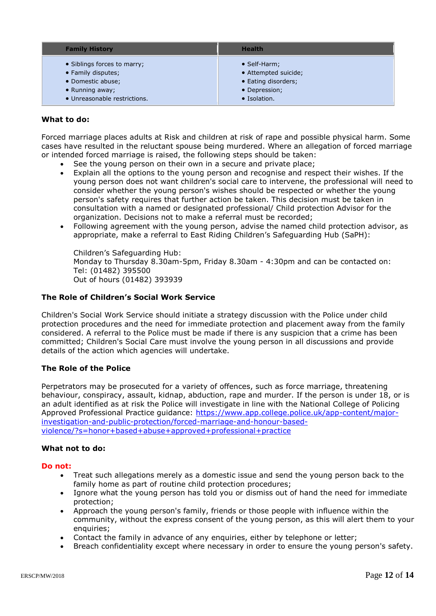| <b>Family History</b>        | <b>Health</b>        |
|------------------------------|----------------------|
| • Siblings forces to marry;  | • Self-Harm;         |
| • Family disputes;           | • Attempted suicide; |
| • Domestic abuse;            | • Eating disorders;  |
| • Running away;              | • Depression;        |
| • Unreasonable restrictions. | • Isolation.         |

## **What to do:**

Forced marriage places adults at Risk and children at risk of rape and possible physical harm. Some cases have resulted in the reluctant spouse being murdered. Where an allegation of forced marriage or intended forced marriage is raised, the following steps should be taken:

- See the young person on their own in a secure and private place;
- Explain all the options to the young person and recognise and respect their wishes. If the young person does not want children's social care to intervene, the professional will need to consider whether the young person's wishes should be respected or whether the young person's safety requires that further action be taken. This decision must be taken in consultation with a named or designated professional/ Child protection Advisor for the organization. Decisions not to make a referral must be recorded;
- Following agreement with the young person, advise the named child protection advisor, as appropriate, make a referral to East Riding Children's Safeguarding Hub (SaPH):

Children's Safeguarding Hub: Monday to Thursday 8.30am-5pm, Friday 8.30am - 4:30pm and can be contacted on: Tel: (01482) 395500 Out of hours (01482) 393939

#### **The Role of Children's Social Work Service**

Children's Social Work Service should initiate a strategy discussion with the Police under child protection procedures and the need for immediate protection and placement away from the family considered. A referral to the Police must be made if there is any suspicion that a crime has been committed; Children's Social Care must involve the young person in all discussions and provide details of the action which agencies will undertake.

#### **The Role of the Police**

Perpetrators may be prosecuted for a variety of offences, such as force marriage, threatening behaviour, conspiracy, assault, kidnap, abduction, rape and murder. If the person is under 18, or is an adult identified as at risk the Police will investigate in line with the National College of Policing Approved Professional Practice guidance: [https://www.app.college.police.uk/app-content/major](https://www.app.college.police.uk/app-content/major-investigation-and-public-protection/forced-marriage-and-honour-based-violence/?s=honor+based+abuse+approved+professional+practice)[investigation-and-public-protection/forced-marriage-and-honour-based](https://www.app.college.police.uk/app-content/major-investigation-and-public-protection/forced-marriage-and-honour-based-violence/?s=honor+based+abuse+approved+professional+practice)[violence/?s=honor+based+abuse+approved+professional+practice](https://www.app.college.police.uk/app-content/major-investigation-and-public-protection/forced-marriage-and-honour-based-violence/?s=honor+based+abuse+approved+professional+practice)

#### **What not to do:**

#### **Do not:**

- Treat such allegations merely as a domestic issue and send the young person back to the family home as part of routine child protection procedures;
- Ignore what the young person has told you or dismiss out of hand the need for immediate protection;
- Approach the young person's family, friends or those people with influence within the community, without the express consent of the young person, as this will alert them to your enquiries;
- Contact the family in advance of any enquiries, either by telephone or letter;
- Breach confidentiality except where necessary in order to ensure the young person's safety.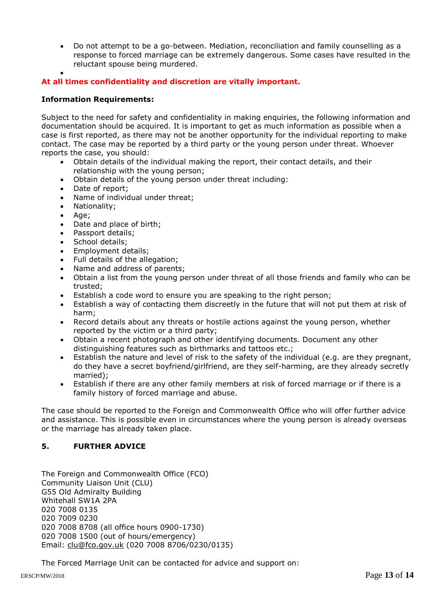Do not attempt to be a go-between. Mediation, reconciliation and family counselling as a response to forced marriage can be extremely dangerous. Some cases have resulted in the reluctant spouse being murdered.

#### $\bullet$ **At all times confidentiality and discretion are vitally important.**

## **Information Requirements:**

Subject to the need for safety and confidentiality in making enquiries, the following information and documentation should be acquired. It is important to get as much information as possible when a case is first reported, as there may not be another opportunity for the individual reporting to make contact. The case may be reported by a third party or the young person under threat. Whoever reports the case, you should:

- Obtain details of the individual making the report, their contact details, and their relationship with the young person;
- Obtain details of the young person under threat including:
- Date of report;
- Name of individual under threat;
- Nationality;
- Age;
- Date and place of birth;
- Passport details;
- School details;
- Employment details;
- Full details of the allegation;
- Name and address of parents;
- Obtain a list from the young person under threat of all those friends and family who can be trusted;
- Establish a code word to ensure you are speaking to the right person;
- Establish a way of contacting them discreetly in the future that will not put them at risk of harm;
- Record details about any threats or hostile actions against the young person, whether reported by the victim or a third party;
- Obtain a recent photograph and other identifying documents. Document any other distinguishing features such as birthmarks and tattoos etc.;
- Establish the nature and level of risk to the safety of the individual (e.g. are they pregnant, do they have a secret boyfriend/girlfriend, are they self-harming, are they already secretly married);
- Establish if there are any other family members at risk of forced marriage or if there is a family history of forced marriage and abuse.

The case should be reported to the Foreign and Commonwealth Office who will offer further advice and assistance. This is possible even in circumstances where the young person is already overseas or the marriage has already taken place.

## **5. FURTHER ADVICE**

The Foreign and Commonwealth Office (FCO) Community Liaison Unit (CLU) G55 Old Admiralty Building Whitehall SW1A 2PA 020 7008 0135 020 7009 0230 020 7008 8708 (all office hours 0900-1730) 020 7008 1500 (out of hours/emergency) Email: [clu@fco.gov.uk](mailto:clu@fco.gov.uk) (020 7008 8706/0230/0135)

The Forced Marriage Unit can be contacted for advice and support on: